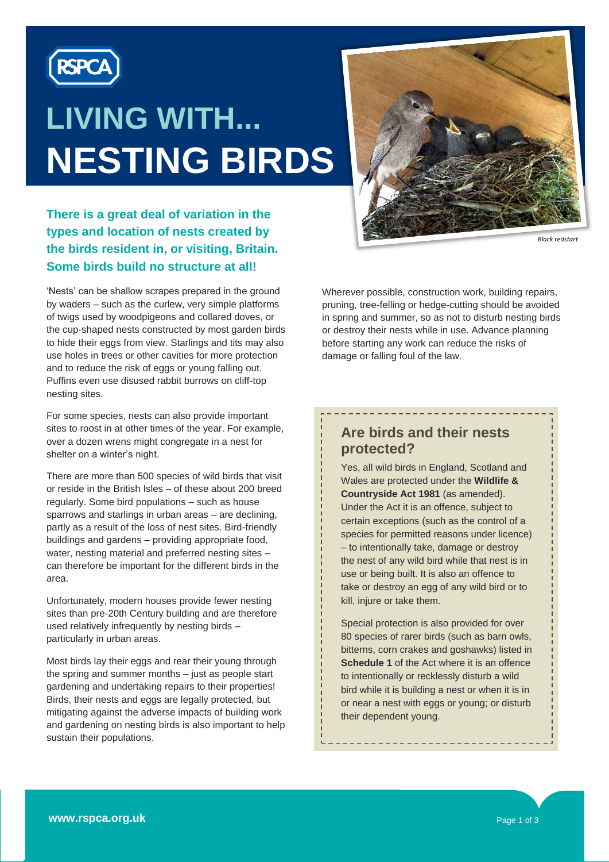

# **LIVING WITH... NESTING BIRDS**



### **There is a great deal of variation in the types and location of nests created by the birds resident in, or visiting, Britain. Some birds build no structure at all!**

'Nests' can be shallow scrapes prepared in the ground by waders – such as the curlew, very simple platforms of twigs used by woodpigeons and collared doves, or the cup-shaped nests constructed by most garden birds to hide their eggs from view. Starlings and tits may also use holes in trees or other cavities for more protection and to reduce the risk of eggs or young falling out. Puffins even use disused rabbit burrows on cliff-top nesting sites.

For some species, nests can also provide important sites to roost in at other times of the year. For example, over a dozen wrens might congregate in a nest for shelter on a winter's night.

There are more than 500 species of wild birds that visit or reside in the British Isles – of these about 200 breed regularly. Some bird populations – such as house sparrows and starlings in urban areas – are declining, partly as a result of the loss of nest sites. Bird-friendly buildings and gardens – providing appropriate food, water, nesting material and preferred nesting sites – can therefore be important for the different birds in the area.

Unfortunately, modern houses provide fewer nesting sites than pre-20th Century building and are therefore used relatively infrequently by nesting birds – particularly in urban areas.

Most birds lay their eggs and rear their young through the spring and summer months – just as people start gardening and undertaking repairs to their properties! Birds, their nests and eggs are legally protected, but mitigating against the adverse impacts of building work and gardening on nesting birds is also important to help sustain their populations.

Wherever possible, construction work, building repairs, pruning, tree-felling or hedge-cutting should be avoided in spring and summer, so as not to disturb nesting birds or destroy their nests while in use. Advance planning before starting any work can reduce the risks of damage or falling foul of the law.

\_\_\_\_\_\_\_\_\_\_\_\_\_\_\_\_\_\_\_\_\_\_\_\_

#### **Are birds and their nests protected?**

Yes, all wild birds in England, Scotland and Wales are protected under the **Wildlife & Countryside Act 1981** (as amended). Under the Act it is an offence, subject to certain exceptions (such as the control of a species for permitted reasons under licence) – to intentionally take, damage or destroy the nest of any wild bird while that nest is in use or being built. It is also an offence to take or destroy an egg of any wild bird or to kill, injure or take them.

Special protection is also provided for over 80 species of rarer birds (such as barn owls, bitterns, corn crakes and goshawks) listed in **Schedule 1** of the Act where it is an offence to intentionally or recklessly disturb a wild bird while it is building a nest or when it is in or near a nest with eggs or young; or disturb their dependent young.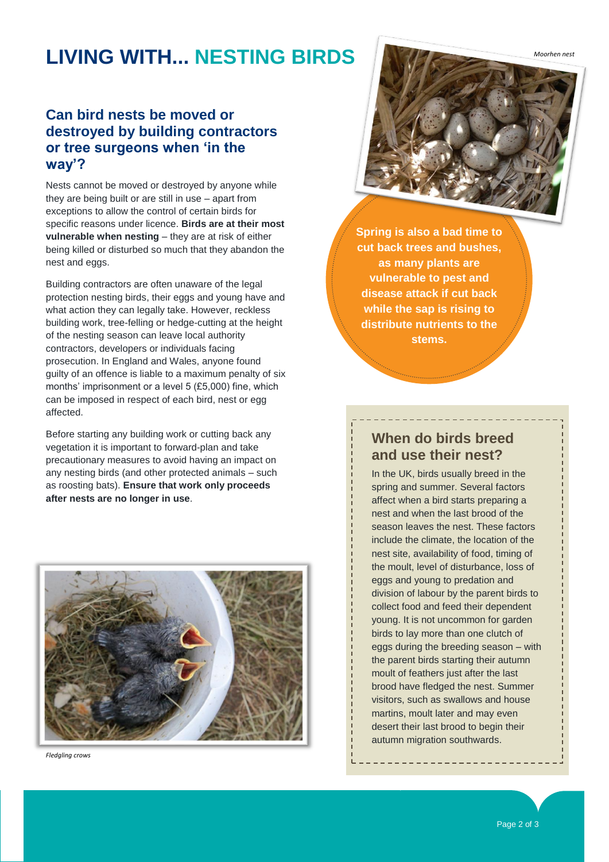# **LIVING WITH... NESTING BIRDS**

### **Can bird nests be moved or destroyed by building contractors or tree surgeons when 'in the way'?**

Nests cannot be moved or destroyed by anyone while they are being built or are still in use – apart from exceptions to allow the control of certain birds for specific reasons under licence. **Birds are at their most vulnerable when nesting** – they are at risk of either being killed or disturbed so much that they abandon the nest and eggs.

Building contractors are often unaware of the legal protection nesting birds, their eggs and young have and what action they can legally take. However, reckless building work, tree-felling or hedge-cutting at the height of the nesting season can leave local authority contractors, developers or individuals facing prosecution. In England and Wales, anyone found guilty of an offence is liable to a maximum penalty of six months' imprisonment or a level 5 (£5,000) fine, which can be imposed in respect of each bird, nest or egg affected.

Before starting any building work or cutting back any vegetation it is important to forward-plan and take precautionary measures to avoid having an impact on any nesting birds (and other protected animals – such as roosting bats). **Ensure that work only proceeds after nests are no longer in use**.



*Fledgling crows*



**Spring is also a bad time to cut back trees and bushes, as many plants are vulnerable to pest and disease attack if cut back while the sap is rising to distribute nutrients to the stems.**

#### **When do birds breed and use their nest?**

In the UK, birds usually breed in the spring and summer. Several factors affect when a bird starts preparing a nest and when the last brood of the season leaves the nest. These factors include the climate, the location of the nest site, availability of food, timing of the moult, level of disturbance, loss of eggs and young to predation and division of labour by the parent birds to collect food and feed their dependent young. It is not uncommon for garden birds to lay more than one clutch of eggs during the breeding season – with the parent birds starting their autumn moult of feathers just after the last brood have fledged the nest. Summer visitors, such as swallows and house martins, moult later and may even desert their last brood to begin their autumn migration southwards.

Page 2 of 3